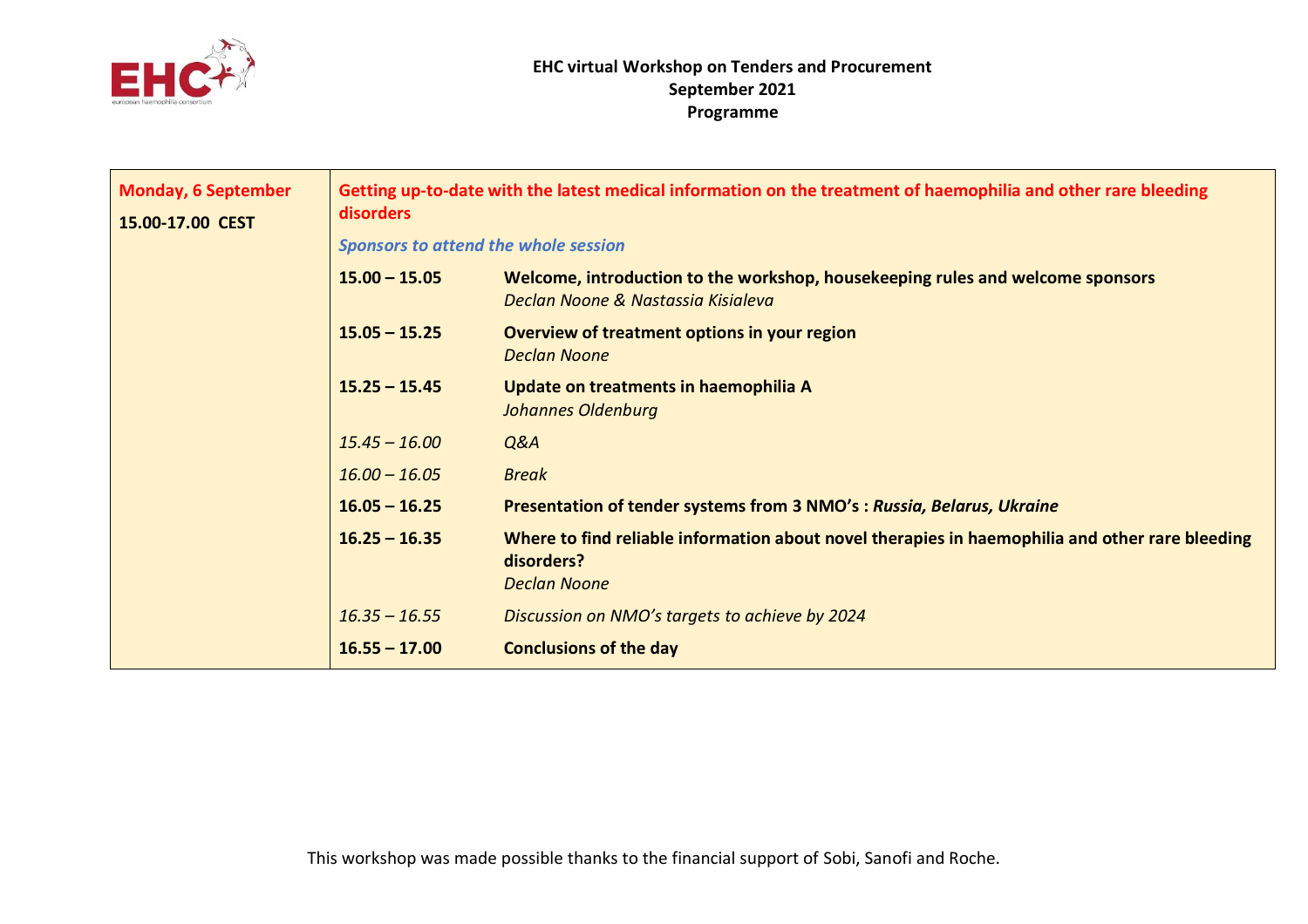

| <b>Monday, 6 September</b><br>15.00-17.00 CEST | Getting up-to-date with the latest medical information on the treatment of haemophilia and other rare bleeding<br><b>disorders</b> |                                                                                                                                      |  |
|------------------------------------------------|------------------------------------------------------------------------------------------------------------------------------------|--------------------------------------------------------------------------------------------------------------------------------------|--|
|                                                | Sponsors to attend the whole session                                                                                               |                                                                                                                                      |  |
|                                                | $15.00 - 15.05$                                                                                                                    | Welcome, introduction to the workshop, housekeeping rules and welcome sponsors<br>Declan Noone & Nastassia Kisialeva                 |  |
|                                                | $15.05 - 15.25$                                                                                                                    | Overview of treatment options in your region<br><b>Declan Noone</b>                                                                  |  |
|                                                | $15.25 - 15.45$                                                                                                                    | Update on treatments in haemophilia A<br><b>Johannes Oldenburg</b>                                                                   |  |
|                                                | $15.45 - 16.00$                                                                                                                    | Q&A                                                                                                                                  |  |
|                                                | $16.00 - 16.05$                                                                                                                    | <b>Break</b>                                                                                                                         |  |
|                                                | $16.05 - 16.25$                                                                                                                    | Presentation of tender systems from 3 NMO's : Russia, Belarus, Ukraine                                                               |  |
|                                                | $16.25 - 16.35$                                                                                                                    | Where to find reliable information about novel therapies in haemophilia and other rare bleeding<br>disorders?<br><b>Declan Noone</b> |  |
|                                                | $16.35 - 16.55$                                                                                                                    | Discussion on NMO's targets to achieve by 2024                                                                                       |  |
|                                                | $16.55 - 17.00$                                                                                                                    | <b>Conclusions of the day</b>                                                                                                        |  |
|                                                |                                                                                                                                    |                                                                                                                                      |  |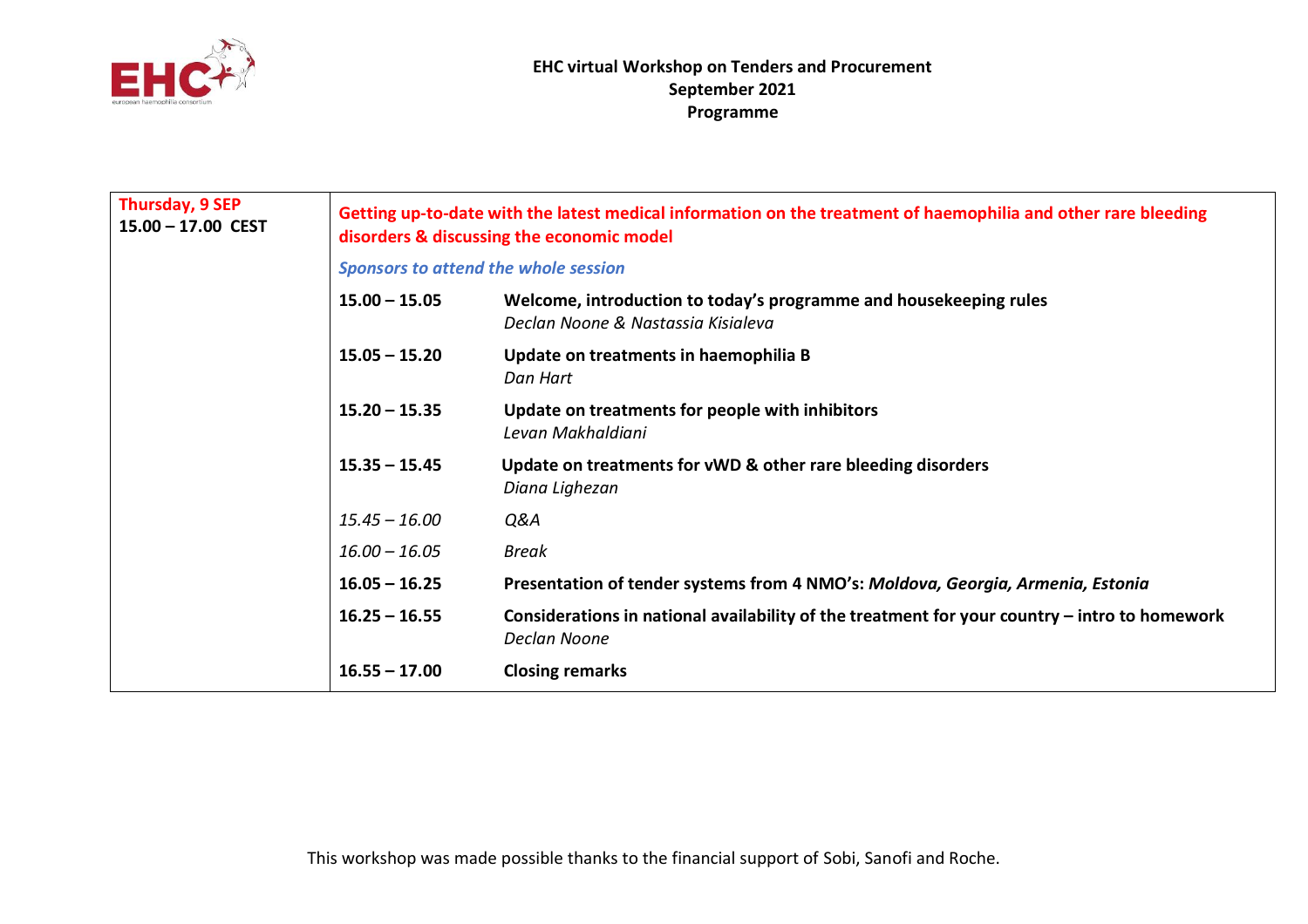

| Thursday, 9 SEP<br>$15.00 - 17.00$ CEST | Getting up-to-date with the latest medical information on the treatment of haemophilia and other rare bleeding<br>disorders & discussing the economic model |                                                                                                               |  |
|-----------------------------------------|-------------------------------------------------------------------------------------------------------------------------------------------------------------|---------------------------------------------------------------------------------------------------------------|--|
|                                         | <b>Sponsors to attend the whole session</b>                                                                                                                 |                                                                                                               |  |
|                                         | $15.00 - 15.05$                                                                                                                                             | Welcome, introduction to today's programme and housekeeping rules<br>Declan Noone & Nastassia Kisialeva       |  |
|                                         | $15.05 - 15.20$                                                                                                                                             | Update on treatments in haemophilia B<br>Dan Hart                                                             |  |
|                                         | $15.20 - 15.35$                                                                                                                                             | Update on treatments for people with inhibitors<br>Levan Makhaldiani                                          |  |
|                                         | $15.35 - 15.45$                                                                                                                                             | Update on treatments for vWD & other rare bleeding disorders<br>Diana Lighezan                                |  |
|                                         | $15.45 - 16.00$                                                                                                                                             | Q&A                                                                                                           |  |
|                                         | $16.00 - 16.05$                                                                                                                                             | <b>Break</b>                                                                                                  |  |
|                                         | $16.05 - 16.25$                                                                                                                                             | Presentation of tender systems from 4 NMO's: Moldova, Georgia, Armenia, Estonia                               |  |
|                                         | $16.25 - 16.55$                                                                                                                                             | Considerations in national availability of the treatment for your country – intro to homework<br>Declan Noone |  |
|                                         | $16.55 - 17.00$                                                                                                                                             | <b>Closing remarks</b>                                                                                        |  |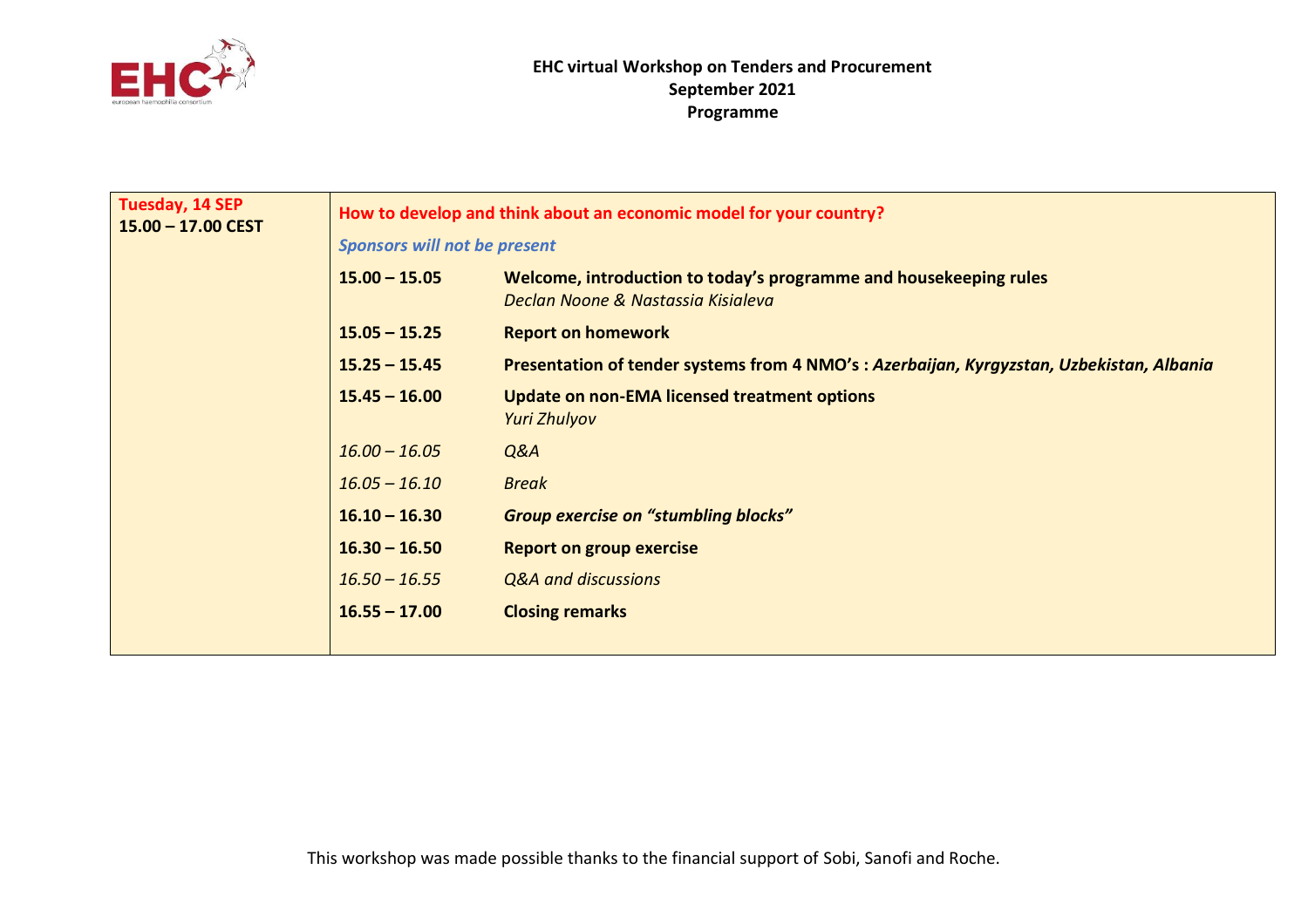

| <b>Tuesday, 14 SEP</b><br>$15.00 - 17.00$ CEST | <b>Sponsors will not be present</b><br>$15.00 - 15.05$<br>$15.05 - 15.25$<br>$15.25 - 15.45$<br>$15.45 - 16.00$<br>$16.00 - 16.05$<br>$16.05 - 16.10$<br>$16.10 - 16.30$<br>$16.30 - 16.50$<br>$16.50 - 16.55$<br>$16.55 - 17.00$ | How to develop and think about an economic model for your country?<br>Welcome, introduction to today's programme and housekeeping rules<br>Declan Noone & Nastassia Kisialeva<br><b>Report on homework</b><br>Presentation of tender systems from 4 NMO's: Azerbaijan, Kyrgyzstan, Uzbekistan, Albania<br>Update on non-EMA licensed treatment options<br>Yuri Zhulyov<br>Q&A<br><b>Break</b><br><b>Group exercise on "stumbling blocks"</b><br><b>Report on group exercise</b><br>Q&A and discussions<br><b>Closing remarks</b> |
|------------------------------------------------|-----------------------------------------------------------------------------------------------------------------------------------------------------------------------------------------------------------------------------------|----------------------------------------------------------------------------------------------------------------------------------------------------------------------------------------------------------------------------------------------------------------------------------------------------------------------------------------------------------------------------------------------------------------------------------------------------------------------------------------------------------------------------------|
|                                                |                                                                                                                                                                                                                                   |                                                                                                                                                                                                                                                                                                                                                                                                                                                                                                                                  |